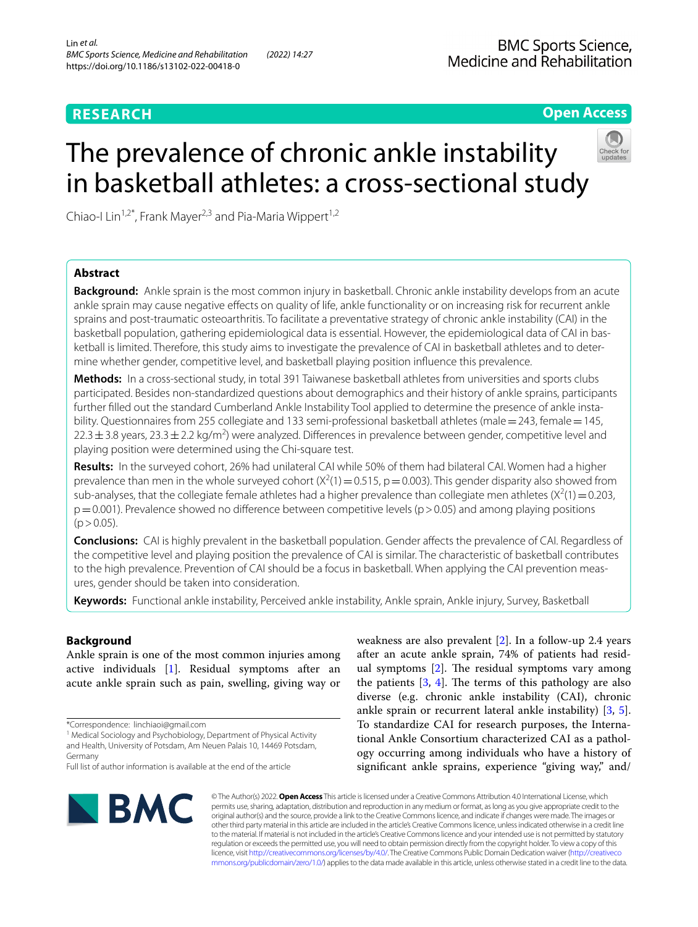# **RESEARCH**

# **Open Access**

# The prevalence of chronic ankle instability in basketball athletes: a cross-sectional study



Chiao-I Lin<sup>1,2\*</sup>, Frank Mayer<sup>2,3</sup> and Pia-Maria Wippert<sup>1,2</sup>

# **Abstract**

**Background:** Ankle sprain is the most common injury in basketball. Chronic ankle instability develops from an acute ankle sprain may cause negative effects on quality of life, ankle functionality or on increasing risk for recurrent ankle sprains and post-traumatic osteoarthritis. To facilitate a preventative strategy of chronic ankle instability (CAI) in the basketball population, gathering epidemiological data is essential. However, the epidemiological data of CAI in bas‑ ketball is limited. Therefore, this study aims to investigate the prevalence of CAI in basketball athletes and to determine whether gender, competitive level, and basketball playing position infuence this prevalence.

**Methods:** In a cross-sectional study, in total 391 Taiwanese basketball athletes from universities and sports clubs participated. Besides non-standardized questions about demographics and their history of ankle sprains, participants further filled out the standard Cumberland Ankle Instability Tool applied to determine the presence of ankle instability. Questionnaires from 255 collegiate and 133 semi-professional basketball athletes (male = 243, female = 145,  $22.3\pm3.8$  years, 23.3  $\pm$  2.2 kg/m<sup>2</sup>) were analyzed. Differences in prevalence between gender, competitive level and playing position were determined using the Chi-square test.

**Results:** In the surveyed cohort, 26% had unilateral CAI while 50% of them had bilateral CAI. Women had a higher prevalence than men in the whole surveyed cohort  $(X^2(1) = 0.515, p = 0.003)$ . This gender disparity also showed from sub-analyses, that the collegiate female athletes had a higher prevalence than collegiate men athletes  $(X^2(1)=0.203$ ,  $p=0.001$ ). Prevalence showed no difference between competitive levels ( $p>0.05$ ) and among playing positions  $(p > 0.05)$ .

**Conclusions:** CAI is highly prevalent in the basketball population. Gender affects the prevalence of CAI. Regardless of the competitive level and playing position the prevalence of CAI is similar. The characteristic of basketball contributes to the high prevalence. Prevention of CAI should be a focus in basketball. When applying the CAI prevention measures, gender should be taken into consideration.

**Keywords:** Functional ankle instability, Perceived ankle instability, Ankle sprain, Ankle injury, Survey, Basketball

# **Background**

Ankle sprain is one of the most common injuries among active individuals [[1\]](#page-7-0). Residual symptoms after an acute ankle sprain such as pain, swelling, giving way or

\*Correspondence: linchiaoi@gmail.com

<sup>1</sup> Medical Sociology and Psychobiology, Department of Physical Activity and Health, University of Potsdam, Am Neuen Palais 10, 14469 Potsdam, Germany

weakness are also prevalent [\[2](#page-7-1)]. In a follow-up 2.4 years after an acute ankle sprain, 74% of patients had residual symptoms  $[2]$  $[2]$ . The residual symptoms vary among the patients  $[3, 4]$  $[3, 4]$  $[3, 4]$  $[3, 4]$  $[3, 4]$ . The terms of this pathology are also diverse (e.g. chronic ankle instability (CAI), chronic ankle sprain or recurrent lateral ankle instability) [[3,](#page-7-2) [5](#page-7-4)]. To standardize CAI for research purposes, the International Ankle Consortium characterized CAI as a pathology occurring among individuals who have a history of significant ankle sprains, experience "giving way," and/



© The Author(s) 2022. **Open Access** This article is licensed under a Creative Commons Attribution 4.0 International License, which permits use, sharing, adaptation, distribution and reproduction in any medium or format, as long as you give appropriate credit to the original author(s) and the source, provide a link to the Creative Commons licence, and indicate if changes were made. The images or other third party material in this article are included in the article's Creative Commons licence, unless indicated otherwise in a credit line to the material. If material is not included in the article's Creative Commons licence and your intended use is not permitted by statutory regulation or exceeds the permitted use, you will need to obtain permission directly from the copyright holder. To view a copy of this licence, visit [http://creativecommons.org/licenses/by/4.0/.](http://creativecommons.org/licenses/by/4.0/) The Creative Commons Public Domain Dedication waiver ([http://creativeco](http://creativecommons.org/publicdomain/zero/1.0/) [mmons.org/publicdomain/zero/1.0/](http://creativecommons.org/publicdomain/zero/1.0/)) applies to the data made available in this article, unless otherwise stated in a credit line to the data.

Full list of author information is available at the end of the article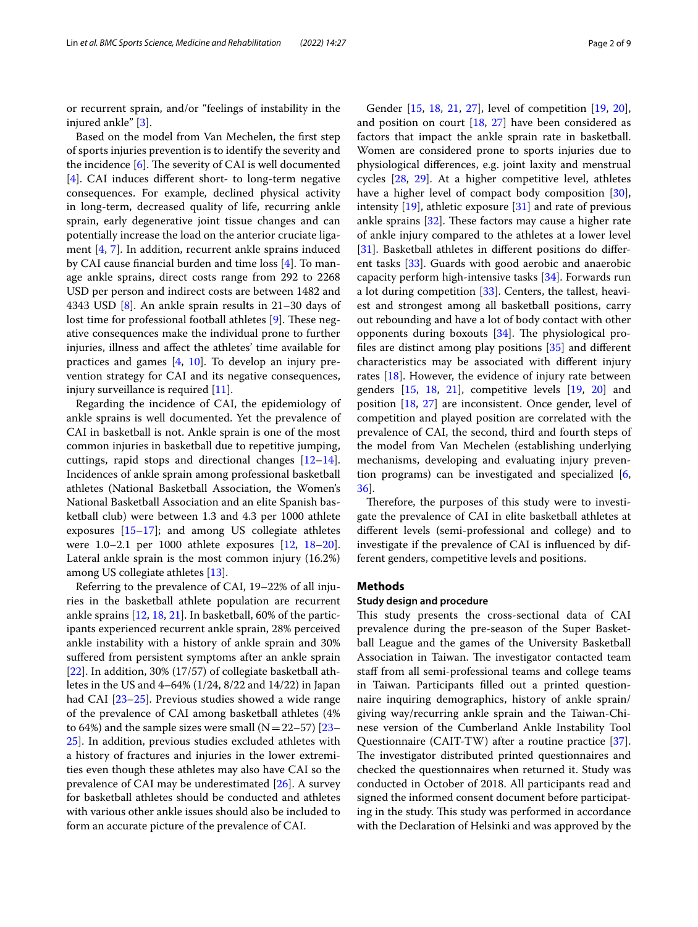or recurrent sprain, and/or "feelings of instability in the injured ankle" [\[3](#page-7-2)].

Based on the model from Van Mechelen, the frst step of sports injuries prevention is to identify the severity and the incidence  $[6]$  $[6]$ . The severity of CAI is well documented [[4\]](#page-7-3). CAI induces diferent short- to long-term negative consequences. For example, declined physical activity in long-term, decreased quality of life, recurring ankle sprain, early degenerative joint tissue changes and can potentially increase the load on the anterior cruciate ligament [\[4](#page-7-3), [7](#page-7-6)]. In addition, recurrent ankle sprains induced by CAI cause fnancial burden and time loss [[4\]](#page-7-3). To manage ankle sprains, direct costs range from 292 to 2268 USD per person and indirect costs are between 1482 and 4343 USD [[8\]](#page-7-7). An ankle sprain results in 21–30 days of lost time for professional football athletes [[9\]](#page-7-8). These negative consequences make the individual prone to further injuries, illness and afect the athletes' time available for practices and games [[4,](#page-7-3) [10\]](#page-7-9). To develop an injury prevention strategy for CAI and its negative consequences, injury surveillance is required [[11\]](#page-7-10).

Regarding the incidence of CAI, the epidemiology of ankle sprains is well documented. Yet the prevalence of CAI in basketball is not. Ankle sprain is one of the most common injuries in basketball due to repetitive jumping, cuttings, rapid stops and directional changes [[12](#page-7-11)[–14](#page-7-12)]. Incidences of ankle sprain among professional basketball athletes (National Basketball Association, the Women's National Basketball Association and an elite Spanish basketball club) were between 1.3 and 4.3 per 1000 athlete exposures  $[15-17]$  $[15-17]$ ; and among US collegiate athletes were 1.0–2.1 per 1000 athlete exposures [\[12](#page-7-11), [18](#page-7-15)[–20](#page-7-16)]. Lateral ankle sprain is the most common injury (16.2%) among US collegiate athletes [\[13](#page-7-17)].

Referring to the prevalence of CAI, 19–22% of all injuries in the basketball athlete population are recurrent ankle sprains [[12](#page-7-11), [18,](#page-7-15) [21](#page-7-18)]. In basketball, 60% of the participants experienced recurrent ankle sprain, 28% perceived ankle instability with a history of ankle sprain and 30% sufered from persistent symptoms after an ankle sprain [[22\]](#page-7-19). In addition, 30% (17/57) of collegiate basketball athletes in the US and 4–64% (1/24, 8/22 and 14/22) in Japan had CAI [[23](#page-7-20)[–25](#page-7-21)]. Previous studies showed a wide range of the prevalence of CAI among basketball athletes (4% to 64%) and the sample sizes were small  $(N=22-57)$  [[23–](#page-7-20) [25\]](#page-7-21). In addition, previous studies excluded athletes with a history of fractures and injuries in the lower extremities even though these athletes may also have CAI so the prevalence of CAI may be underestimated [\[26\]](#page-7-22). A survey for basketball athletes should be conducted and athletes with various other ankle issues should also be included to form an accurate picture of the prevalence of CAI.

Gender [\[15](#page-7-13), [18](#page-7-15), [21,](#page-7-18) [27\]](#page-7-23), level of competition [[19](#page-7-24), [20](#page-7-16)], and position on court [[18,](#page-7-15) [27](#page-7-23)] have been considered as factors that impact the ankle sprain rate in basketball. Women are considered prone to sports injuries due to physiological diferences, e.g. joint laxity and menstrual cycles [\[28,](#page-7-25) [29\]](#page-7-26). At a higher competitive level, athletes have a higher level of compact body composition [\[30](#page-7-27)], intensity  $[19]$  $[19]$ , athletic exposure  $[31]$  and rate of previous ankle sprains  $[32]$  $[32]$ . These factors may cause a higher rate of ankle injury compared to the athletes at a lower level [[31\]](#page-7-28). Basketball athletes in different positions do different tasks [[33](#page-7-30)]. Guards with good aerobic and anaerobic capacity perform high-intensive tasks [[34\]](#page-7-31). Forwards run a lot during competition [\[33](#page-7-30)]. Centers, the tallest, heaviest and strongest among all basketball positions, carry out rebounding and have a lot of body contact with other opponents during boxouts  $[34]$  $[34]$ . The physiological profles are distinct among play positions [\[35\]](#page-8-0) and diferent characteristics may be associated with diferent injury rates  $[18]$  $[18]$ . However, the evidence of injury rate between genders [\[15](#page-7-13), [18,](#page-7-15) [21\]](#page-7-18), competitive levels [\[19,](#page-7-24) [20\]](#page-7-16) and position [\[18,](#page-7-15) [27\]](#page-7-23) are inconsistent. Once gender, level of competition and played position are correlated with the prevalence of CAI, the second, third and fourth steps of the model from Van Mechelen (establishing underlying mechanisms, developing and evaluating injury prevention programs) can be investigated and specialized [\[6](#page-7-5), [36\]](#page-8-1).

Therefore, the purposes of this study were to investigate the prevalence of CAI in elite basketball athletes at diferent levels (semi-professional and college) and to investigate if the prevalence of CAI is infuenced by different genders, competitive levels and positions.

# **Methods**

# **Study design and procedure**

This study presents the cross-sectional data of CAI prevalence during the pre-season of the Super Basketball League and the games of the University Basketball Association in Taiwan. The investigator contacted team staff from all semi-professional teams and college teams in Taiwan. Participants flled out a printed questionnaire inquiring demographics, history of ankle sprain/ giving way/recurring ankle sprain and the Taiwan-Chinese version of the Cumberland Ankle Instability Tool Questionnaire (CAIT-TW) after a routine practice [\[37](#page-8-2)]. The investigator distributed printed questionnaires and checked the questionnaires when returned it. Study was conducted in October of 2018. All participants read and signed the informed consent document before participating in the study. This study was performed in accordance with the Declaration of Helsinki and was approved by the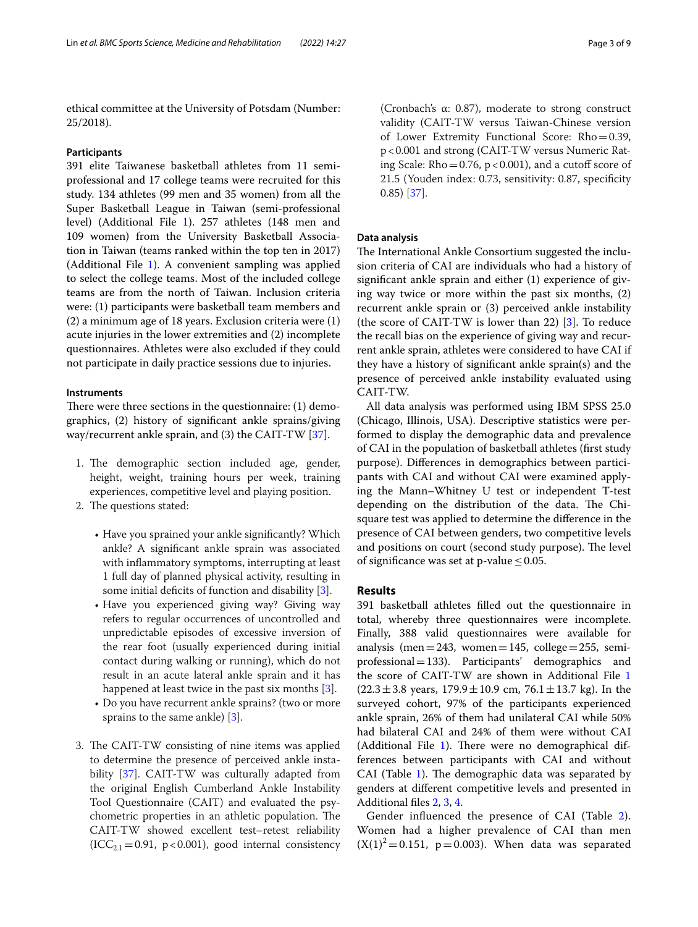ethical committee at the University of Potsdam (Number: 25/2018).

# **Participants**

391 elite Taiwanese basketball athletes from 11 semiprofessional and 17 college teams were recruited for this study. 134 athletes (99 men and 35 women) from all the Super Basketball League in Taiwan (semi-professional level) (Additional File [1\)](#page-6-0). 257 athletes (148 men and 109 women) from the University Basketball Association in Taiwan (teams ranked within the top ten in 2017) (Additional File [1\)](#page-6-0). A convenient sampling was applied to select the college teams. Most of the included college teams are from the north of Taiwan. Inclusion criteria were: (1) participants were basketball team members and (2) a minimum age of 18 years. Exclusion criteria were (1) acute injuries in the lower extremities and (2) incomplete questionnaires. Athletes were also excluded if they could not participate in daily practice sessions due to injuries.

## **Instruments**

There were three sections in the questionnaire:  $(1)$  demographics, (2) history of signifcant ankle sprains/giving way/recurrent ankle sprain, and (3) the CAIT-TW [\[37](#page-8-2)].

- 1. The demographic section included age, gender, height, weight, training hours per week, training experiences, competitive level and playing position.
- 2. The questions stated:
	- Have you sprained your ankle signifcantly? Which ankle? A signifcant ankle sprain was associated with infammatory symptoms, interrupting at least 1 full day of planned physical activity, resulting in some initial deficits of function and disability  $[3]$  $[3]$ .
	- Have you experienced giving way? Giving way refers to regular occurrences of uncontrolled and unpredictable episodes of excessive inversion of the rear foot (usually experienced during initial contact during walking or running), which do not result in an acute lateral ankle sprain and it has happened at least twice in the past six months [[3](#page-7-2)].
	- Do you have recurrent ankle sprains? (two or more sprains to the same ankle) [\[3](#page-7-2)].
- 3. The CAIT-TW consisting of nine items was applied to determine the presence of perceived ankle instability [[37](#page-8-2)]. CAIT-TW was culturally adapted from the original English Cumberland Ankle Instability Tool Questionnaire (CAIT) and evaluated the psychometric properties in an athletic population. The CAIT-TW showed excellent test–retest reliability  $(ICC_{2.1}=0.91, p<0.001)$ , good internal consistency

(Cronbach's α: 0.87), moderate to strong construct validity (CAIT-TW versus Taiwan-Chinese version of Lower Extremity Functional Score: Rho=0.39, p<0.001 and strong (CAIT-TW versus Numeric Rating Scale: Rho=0.76,  $p < 0.001$ ), and a cutoff score of 21.5 (Youden index: 0.73, sensitivity: 0.87, specifcity 0.85) [\[37\]](#page-8-2).

# **Data analysis**

The International Ankle Consortium suggested the inclusion criteria of CAI are individuals who had a history of signifcant ankle sprain and either (1) experience of giving way twice or more within the past six months, (2) recurrent ankle sprain or (3) perceived ankle instability (the score of CAIT-TW is lower than 22) [\[3](#page-7-2)]. To reduce the recall bias on the experience of giving way and recurrent ankle sprain, athletes were considered to have CAI if they have a history of signifcant ankle sprain(s) and the presence of perceived ankle instability evaluated using CAIT-TW.

All data analysis was performed using IBM SPSS 25.0 (Chicago, Illinois, USA). Descriptive statistics were performed to display the demographic data and prevalence of CAI in the population of basketball athletes (frst study purpose). Diferences in demographics between participants with CAI and without CAI were examined applying the Mann–Whitney U test or independent T-test depending on the distribution of the data. The Chisquare test was applied to determine the diference in the presence of CAI between genders, two competitive levels and positions on court (second study purpose). The level of significance was set at p-value  $\leq 0.05$ .

# **Results**

391 basketball athletes flled out the questionnaire in total, whereby three questionnaires were incomplete. Finally, 388 valid questionnaires were available for analysis (men=243, women=145, college=255, semiprofessional=133). Participants' demographics and the score of CAIT-TW are shown in Additional File [1](#page-6-0)  $(22.3 \pm 3.8 \text{ years}, 179.9 \pm 10.9 \text{ cm}, 76.1 \pm 13.7 \text{ kg})$ . In the surveyed cohort, 97% of the participants experienced ankle sprain, 26% of them had unilateral CAI while 50% had bilateral CAI and 24% of them were without CAI (Additional File [1](#page-6-0)). There were no demographical differences between participants with CAI and without CAI (Table  $1$ ). The demographic data was separated by genders at diferent competitive levels and presented in Additional fles [2](#page-6-1), [3,](#page-6-2) [4.](#page-6-3)

Gender infuenced the presence of CAI (Table [2](#page-3-1)). Women had a higher prevalence of CAI than men  $(X(1)^{2} = 0.151, p = 0.003)$ . When data was separated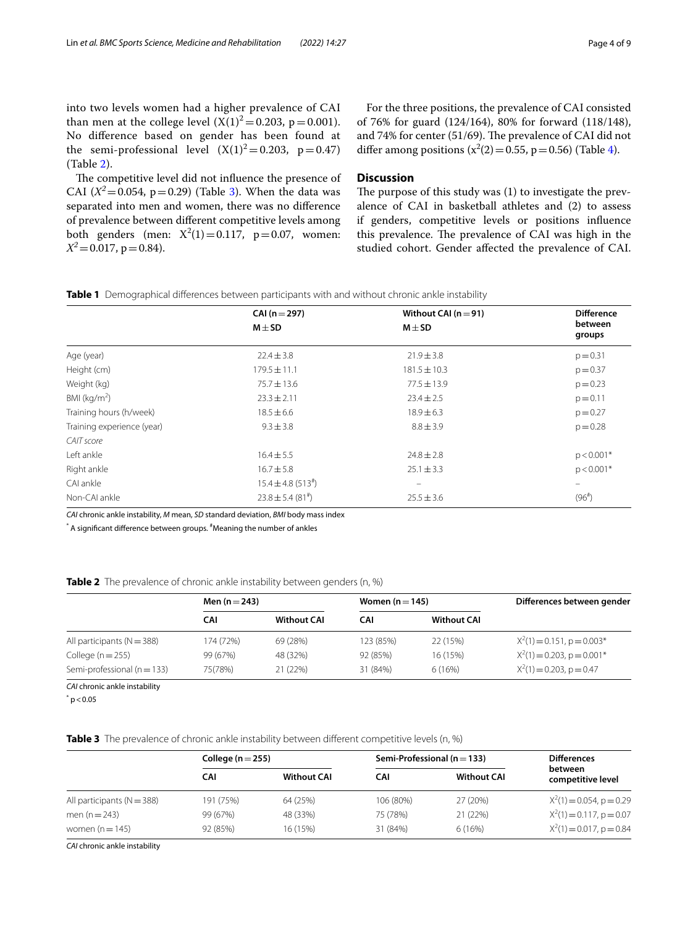into two levels women had a higher prevalence of CAI than men at the college level  $(X(1)^{2} = 0.203, p = 0.001)$ . No diference based on gender has been found at the semi-professional level  $(X(1)^2=0.203, p=0.47)$ (Table [2\)](#page-3-1).

The competitive level did not influence the presence of CAI  $(X^2 = 0.054, p = 0.29)$  (Table [3\)](#page-3-2). When the data was separated into men and women, there was no diference of prevalence between diferent competitive levels among both genders (men:  $X^2(1) = 0.117$ ,  $p = 0.07$ , women:  $X^2$  = 0.017, p = 0.84).

For the three positions, the prevalence of CAI consisted of 76% for guard (124/164), 80% for forward (118/148), and 74% for center (51/69). The prevalence of CAI did not differ among positions  $(x^2(2) = 0.55, p = 0.56)$  (Table [4\)](#page-4-0).

# **Discussion**

The purpose of this study was  $(1)$  to investigate the prevalence of CAI in basketball athletes and (2) to assess if genders, competitive levels or positions infuence this prevalence. The prevalence of CAI was high in the studied cohort. Gender afected the prevalence of CAI.

<span id="page-3-0"></span>**Table 1** Demographical diferences between participants with and without chronic ankle instability

|                            | $CAI(n=297)$                       | Without CAI ( $n = 91$ ) | <b>Difference</b>        |  |
|----------------------------|------------------------------------|--------------------------|--------------------------|--|
|                            | $M \pm SD$                         | $M \pm SD$               | between<br>groups        |  |
| Age (year)                 | $22.4 \pm 3.8$                     | $21.9 \pm 3.8$           | $p = 0.31$               |  |
| Height (cm)                | $179.5 \pm 11.1$                   | $181.5 \pm 10.3$         | $p = 0.37$               |  |
| Weight (kg)                | $75.7 \pm 13.6$                    | $77.5 \pm 13.9$          | $p = 0.23$               |  |
| BMI ( $kg/m2$ )            | $23.3 \pm 2.11$                    | $23.4 \pm 2.5$           | $p = 0.11$               |  |
| Training hours (h/week)    | $18.5 \pm 6.6$                     | $18.9 \pm 6.3$           | $p = 0.27$               |  |
| Training experience (year) | $9.3 \pm 3.8$                      | $8.8 \pm 3.9$            | $p = 0.28$               |  |
| CAIT score                 |                                    |                          |                          |  |
| Left ankle                 | $16.4 \pm 5.5$                     | $24.8 \pm 2.8$           | $p < 0.001*$             |  |
| Right ankle                | $16.7 \pm 5.8$                     | $25.1 \pm 3.3$           | $p < 0.001*$             |  |
| CAI ankle                  | $15.4 \pm 4.8$ (513 <sup>#</sup> ) | $\equiv$                 | $\overline{\phantom{0}}$ |  |
| Non-CAI ankle              | $23.8 \pm 5.4$ (81 <sup>#</sup> )  | $25.5 \pm 3.6$           | (96 <sup>#</sup> )       |  |

*CAI* chronic ankle instability, *M* mean, *SD* standard deviation, *BMI* body mass index

 $^\ast$  A significant difference between groups.  $^\sharp$ Meaning the number of ankles

<span id="page-3-1"></span>**Table 2** The prevalence of chronic ankle instability between genders (n, %)

| Men $(n=243)$ |                    | Women $(n=145)$ |                    | Differences between gender    |  |
|---------------|--------------------|-----------------|--------------------|-------------------------------|--|
| CAI           | <b>Without CAI</b> | CAI             | <b>Without CAI</b> |                               |  |
| 174 (72%)     | 69 (28%)           | 123 (85%)       | 22 (15%)           | $X^2(1) = 0.151$ , p = 0.003* |  |
| 99 (67%)      | 48 (32%)           | 92 (85%)        | 16 (15%)           | $X^2(1) = 0.203$ , p = 0.001* |  |
| 75(78%)       | 21 (22%)           | 31 (84%)        | 6(16%)             | $X^2(1) = 0.203$ , p = 0.47   |  |
|               |                    |                 |                    |                               |  |

*CAI* chronic ankle instability

 $*$  p  $<$  0.05

<span id="page-3-2"></span>**Table 3** The prevalence of chronic ankle instability between diferent competitive levels (n, %)

|                                | College ( $n = 255$ ) |                    | Semi-Professional ( $n = 133$ ) | <b>Differences</b> |                              |
|--------------------------------|-----------------------|--------------------|---------------------------------|--------------------|------------------------------|
|                                | <b>CAI</b>            | <b>Without CAI</b> | CAI                             | <b>Without CAI</b> | between<br>competitive level |
| All participants ( $N = 388$ ) | 191 (75%)             | 64 (25%)           | 106 (80%)                       | 27 (20%)           | $X^2(1) = 0.054$ , p = 0.29  |
| men ( $n = 243$ )              | 99 (67%)              | 48 (33%)           | 75 (78%)                        | 21 (22%)           | $X^2(1) = 0.117$ , p = 0.07  |
| women $(n = 145)$              | 92 (85%)              | 16 (15%)           | 31 (84%)                        | 6(16%)             | $X^2(1) = 0.017$ , p = 0.84  |

*CAI* chronic ankle instability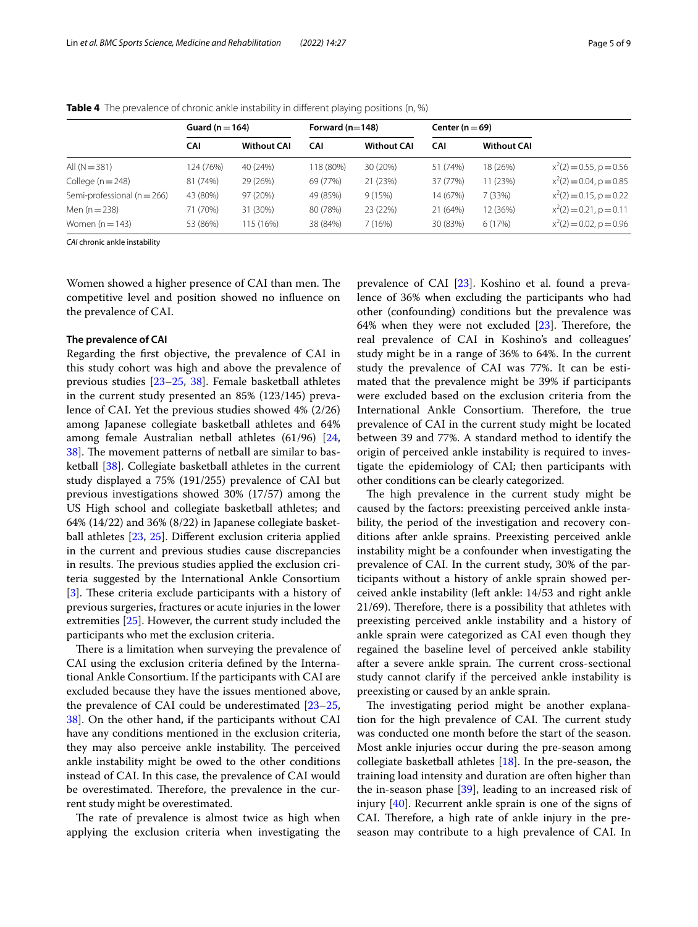|                             | Guard ( $n = 164$ ) |                    | Forward $(n=148)$ |                    | Center ( $n = 69$ ) |                    |                            |
|-----------------------------|---------------------|--------------------|-------------------|--------------------|---------------------|--------------------|----------------------------|
|                             | CAI                 | <b>Without CAI</b> | <b>CAI</b>        | <b>Without CAI</b> | <b>CAI</b>          | <b>Without CAI</b> |                            |
| All $(N = 381)$             | 124 (76%)           | 40 (24%)           | 18 (80%)          | 30 (20%)           | 51 (74%)            | 18 (26%)           | $x^2(2) = 0.55$ , p = 0.56 |
| College $(n = 248)$         | 81 (74%)            | 29 (26%)           | 69 (77%)          | 21 (23%)           | 37 (77%)            | 11 (23%)           | $x^2(2) = 0.04$ , p = 0.85 |
| Semi-professional (n = 266) | 43 (80%)            | 97 (20%)           | 49 (85%)          | 9(15%)             | 14 (67%)            | 7(33%)             | $x^2(2) = 0.15$ , p = 0.22 |
| Men $(n=238)$               | 71 (70%)            | 31 (30%)           | 80 (78%)          | 23 (22%)           | 21 (64%)            | 12 (36%)           | $x^2(2) = 0.21$ , p = 0.11 |
| Women $(n=143)$             | 53 (86%)            | 115 (16%)          | 38 (84%)          | 7 (16%)            | 30 (83%)            | 6(17%)             | $x^2(2) = 0.02$ , p = 0.96 |

<span id="page-4-0"></span>**Table 4** The prevalence of chronic ankle instability in different playing positions (n, %)

*CAI* chronic ankle instability

Women showed a higher presence of CAI than men. The competitive level and position showed no infuence on the prevalence of CAI.

## **The prevalence of CAI**

Regarding the frst objective, the prevalence of CAI in this study cohort was high and above the prevalence of previous studies [\[23–](#page-7-20)[25,](#page-7-21) [38\]](#page-8-3). Female basketball athletes in the current study presented an 85% (123/145) prevalence of CAI. Yet the previous studies showed 4% (2/26) among Japanese collegiate basketball athletes and 64% among female Australian netball athletes (61/96) [\[24](#page-7-32), [38\]](#page-8-3). The movement patterns of netball are similar to basketball [\[38](#page-8-3)]. Collegiate basketball athletes in the current study displayed a 75% (191/255) prevalence of CAI but previous investigations showed 30% (17/57) among the US High school and collegiate basketball athletes; and 64% (14/22) and 36% (8/22) in Japanese collegiate basketball athletes [[23](#page-7-20), [25\]](#page-7-21). Diferent exclusion criteria applied in the current and previous studies cause discrepancies in results. The previous studies applied the exclusion criteria suggested by the International Ankle Consortium [[3\]](#page-7-2). These criteria exclude participants with a history of previous surgeries, fractures or acute injuries in the lower extremities [[25\]](#page-7-21). However, the current study included the participants who met the exclusion criteria.

There is a limitation when surveying the prevalence of CAI using the exclusion criteria defned by the International Ankle Consortium. If the participants with CAI are excluded because they have the issues mentioned above, the prevalence of CAI could be underestimated [[23](#page-7-20)[–25](#page-7-21), [38\]](#page-8-3). On the other hand, if the participants without CAI have any conditions mentioned in the exclusion criteria, they may also perceive ankle instability. The perceived ankle instability might be owed to the other conditions instead of CAI. In this case, the prevalence of CAI would be overestimated. Therefore, the prevalence in the current study might be overestimated.

The rate of prevalence is almost twice as high when applying the exclusion criteria when investigating the prevalence of CAI [[23](#page-7-20)]. Koshino et al. found a prevalence of 36% when excluding the participants who had other (confounding) conditions but the prevalence was 64% when they were not excluded  $[23]$  $[23]$ . Therefore, the real prevalence of CAI in Koshino's and colleagues' study might be in a range of 36% to 64%. In the current study the prevalence of CAI was 77%. It can be estimated that the prevalence might be 39% if participants were excluded based on the exclusion criteria from the International Ankle Consortium. Therefore, the true prevalence of CAI in the current study might be located between 39 and 77%. A standard method to identify the origin of perceived ankle instability is required to investigate the epidemiology of CAI; then participants with other conditions can be clearly categorized.

The high prevalence in the current study might be caused by the factors: preexisting perceived ankle instability, the period of the investigation and recovery conditions after ankle sprains. Preexisting perceived ankle instability might be a confounder when investigating the prevalence of CAI. In the current study, 30% of the participants without a history of ankle sprain showed perceived ankle instability (left ankle: 14/53 and right ankle  $21/69$ ). Therefore, there is a possibility that athletes with preexisting perceived ankle instability and a history of ankle sprain were categorized as CAI even though they regained the baseline level of perceived ankle stability after a severe ankle sprain. The current cross-sectional study cannot clarify if the perceived ankle instability is preexisting or caused by an ankle sprain.

The investigating period might be another explanation for the high prevalence of CAI. The current study was conducted one month before the start of the season. Most ankle injuries occur during the pre-season among collegiate basketball athletes [[18\]](#page-7-15). In the pre-season, the training load intensity and duration are often higher than the in-season phase [[39](#page-8-4)], leading to an increased risk of injury [\[40](#page-8-5)]. Recurrent ankle sprain is one of the signs of CAI. Therefore, a high rate of ankle injury in the preseason may contribute to a high prevalence of CAI. In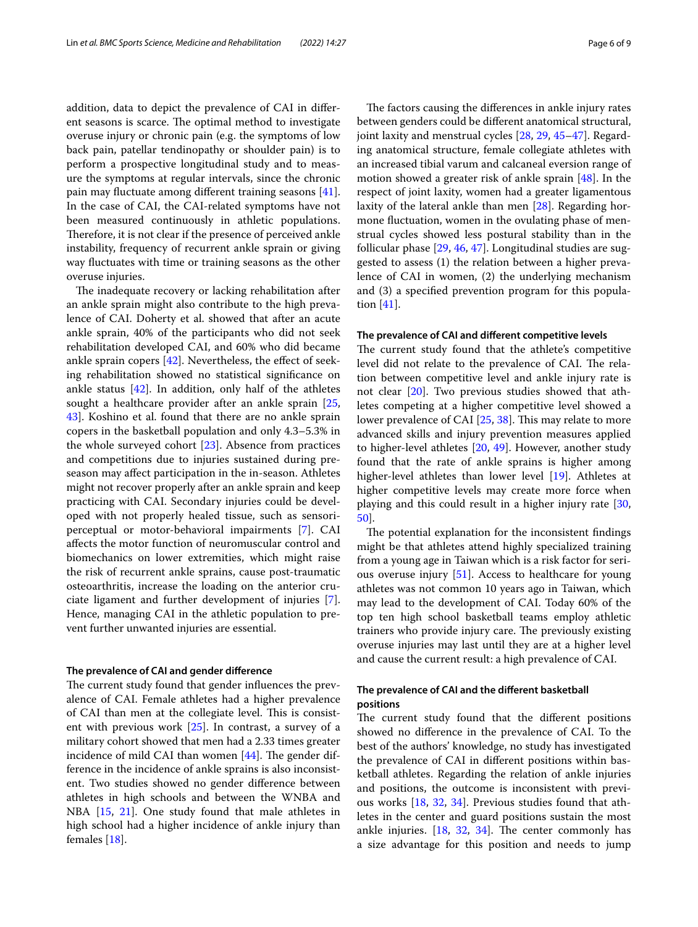addition, data to depict the prevalence of CAI in diferent seasons is scarce. The optimal method to investigate overuse injury or chronic pain (e.g. the symptoms of low back pain, patellar tendinopathy or shoulder pain) is to perform a prospective longitudinal study and to measure the symptoms at regular intervals, since the chronic pain may fuctuate among diferent training seasons [\[41](#page-8-6)]. In the case of CAI, the CAI-related symptoms have not been measured continuously in athletic populations. Therefore, it is not clear if the presence of perceived ankle instability, frequency of recurrent ankle sprain or giving way fuctuates with time or training seasons as the other overuse injuries.

The inadequate recovery or lacking rehabilitation after an ankle sprain might also contribute to the high prevalence of CAI. Doherty et al. showed that after an acute ankle sprain, 40% of the participants who did not seek rehabilitation developed CAI, and 60% who did became ankle sprain copers  $[42]$ . Nevertheless, the effect of seeking rehabilitation showed no statistical signifcance on ankle status  $[42]$  $[42]$ . In addition, only half of the athletes sought a healthcare provider after an ankle sprain [\[25](#page-7-21), [43\]](#page-8-8). Koshino et al. found that there are no ankle sprain copers in the basketball population and only 4.3–5.3% in the whole surveyed cohort [\[23](#page-7-20)]. Absence from practices and competitions due to injuries sustained during preseason may afect participation in the in-season. Athletes might not recover properly after an ankle sprain and keep practicing with CAI. Secondary injuries could be developed with not properly healed tissue, such as sensoriperceptual or motor-behavioral impairments [\[7](#page-7-6)]. CAI afects the motor function of neuromuscular control and biomechanics on lower extremities, which might raise the risk of recurrent ankle sprains, cause post-traumatic osteoarthritis, increase the loading on the anterior cruciate ligament and further development of injuries [\[7](#page-7-6)]. Hence, managing CAI in the athletic population to prevent further unwanted injuries are essential.

# **The prevalence of CAI and gender diference**

The current study found that gender influences the prevalence of CAI. Female athletes had a higher prevalence of CAI than men at the collegiate level. This is consistent with previous work [[25\]](#page-7-21). In contrast, a survey of a military cohort showed that men had a 2.33 times greater incidence of mild CAI than women  $[44]$  $[44]$ . The gender difference in the incidence of ankle sprains is also inconsistent. Two studies showed no gender diference between athletes in high schools and between the WNBA and NBA [\[15](#page-7-13), [21\]](#page-7-18). One study found that male athletes in high school had a higher incidence of ankle injury than females [\[18\]](#page-7-15).

The factors causing the differences in ankle injury rates between genders could be diferent anatomical structural, joint laxity and menstrual cycles [\[28](#page-7-25), [29,](#page-7-26) [45](#page-8-10)[–47](#page-8-11)]. Regarding anatomical structure, female collegiate athletes with an increased tibial varum and calcaneal eversion range of motion showed a greater risk of ankle sprain [[48\]](#page-8-12). In the respect of joint laxity, women had a greater ligamentous laxity of the lateral ankle than men [[28\]](#page-7-25). Regarding hormone fuctuation, women in the ovulating phase of menstrual cycles showed less postural stability than in the follicular phase [[29,](#page-7-26) [46](#page-8-13), [47\]](#page-8-11). Longitudinal studies are suggested to assess (1) the relation between a higher prevalence of CAI in women, (2) the underlying mechanism and (3) a specifed prevention program for this population [[41\]](#page-8-6).

#### **The prevalence of CAI and diferent competitive levels**

The current study found that the athlete's competitive level did not relate to the prevalence of CAI. The relation between competitive level and ankle injury rate is not clear [[20](#page-7-16)]. Two previous studies showed that athletes competing at a higher competitive level showed a lower prevalence of CAI [[25,](#page-7-21) [38](#page-8-3)]. This may relate to more advanced skills and injury prevention measures applied to higher-level athletes [[20,](#page-7-16) [49](#page-8-14)]. However, another study found that the rate of ankle sprains is higher among higher-level athletes than lower level [\[19\]](#page-7-24). Athletes at higher competitive levels may create more force when playing and this could result in a higher injury rate [[30](#page-7-27), [50\]](#page-8-15).

The potential explanation for the inconsistent findings might be that athletes attend highly specialized training from a young age in Taiwan which is a risk factor for serious overuse injury [\[51](#page-8-16)]. Access to healthcare for young athletes was not common 10 years ago in Taiwan, which may lead to the development of CAI. Today 60% of the top ten high school basketball teams employ athletic trainers who provide injury care. The previously existing overuse injuries may last until they are at a higher level and cause the current result: a high prevalence of CAI.

# **The prevalence of CAI and the diferent basketball positions**

The current study found that the different positions showed no diference in the prevalence of CAI. To the best of the authors' knowledge, no study has investigated the prevalence of CAI in diferent positions within basketball athletes. Regarding the relation of ankle injuries and positions, the outcome is inconsistent with previous works [[18,](#page-7-15) [32](#page-7-29), [34\]](#page-7-31). Previous studies found that athletes in the center and guard positions sustain the most ankle injuries.  $[18, 32, 34]$  $[18, 32, 34]$  $[18, 32, 34]$  $[18, 32, 34]$  $[18, 32, 34]$ . The center commonly has a size advantage for this position and needs to jump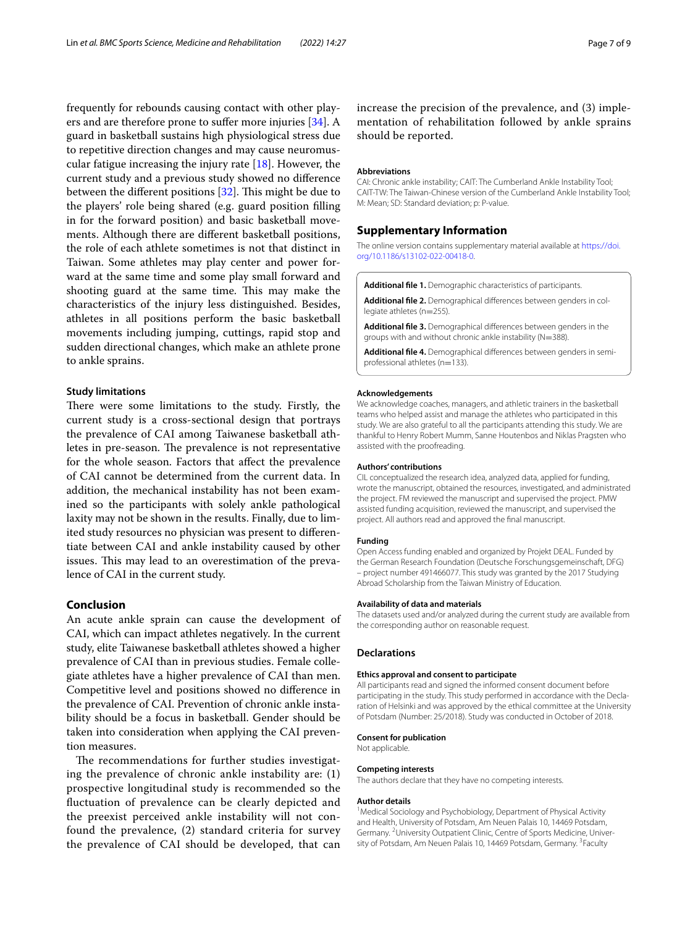frequently for rebounds causing contact with other players and are therefore prone to sufer more injuries [[34\]](#page-7-31). A guard in basketball sustains high physiological stress due to repetitive direction changes and may cause neuromuscular fatigue increasing the injury rate [[18\]](#page-7-15). However, the current study and a previous study showed no diference between the different positions  $[32]$  $[32]$ . This might be due to the players' role being shared (e.g. guard position flling in for the forward position) and basic basketball movements. Although there are diferent basketball positions, the role of each athlete sometimes is not that distinct in Taiwan. Some athletes may play center and power forward at the same time and some play small forward and shooting guard at the same time. This may make the characteristics of the injury less distinguished. Besides, athletes in all positions perform the basic basketball movements including jumping, cuttings, rapid stop and sudden directional changes, which make an athlete prone to ankle sprains.

## **Study limitations**

There were some limitations to the study. Firstly, the current study is a cross-sectional design that portrays the prevalence of CAI among Taiwanese basketball athletes in pre-season. The prevalence is not representative for the whole season. Factors that afect the prevalence of CAI cannot be determined from the current data. In addition, the mechanical instability has not been examined so the participants with solely ankle pathological laxity may not be shown in the results. Finally, due to limited study resources no physician was present to diferentiate between CAI and ankle instability caused by other issues. This may lead to an overestimation of the prevalence of CAI in the current study.

## **Conclusion**

An acute ankle sprain can cause the development of CAI, which can impact athletes negatively. In the current study, elite Taiwanese basketball athletes showed a higher prevalence of CAI than in previous studies. Female collegiate athletes have a higher prevalence of CAI than men. Competitive level and positions showed no diference in the prevalence of CAI. Prevention of chronic ankle instability should be a focus in basketball. Gender should be taken into consideration when applying the CAI prevention measures.

The recommendations for further studies investigating the prevalence of chronic ankle instability are: (1) prospective longitudinal study is recommended so the fuctuation of prevalence can be clearly depicted and the preexist perceived ankle instability will not confound the prevalence, (2) standard criteria for survey the prevalence of CAI should be developed, that can

increase the precision of the prevalence, and (3) implementation of rehabilitation followed by ankle sprains should be reported.

#### **Abbreviations**

CAI: Chronic ankle instability; CAIT: The Cumberland Ankle Instability Tool; CAIT-TW: The Taiwan-Chinese version of the Cumberland Ankle Instability Tool; M: Mean; SD: Standard deviation; p: P-value.

## **Supplementary Information**

The online version contains supplementary material available at [https://doi.](https://doi.org/10.1186/s13102-022-00418-0) [org/10.1186/s13102-022-00418-0](https://doi.org/10.1186/s13102-022-00418-0).

<span id="page-6-1"></span><span id="page-6-0"></span>**Additional fle 1.** Demographic characteristics of participants.

<span id="page-6-2"></span>**Additional fle 2.** Demographical diferences between genders in col‑ legiate athletes (n=255).

<span id="page-6-3"></span>**Additional fle 3.** Demographical diferences between genders in the groups with and without chronic ankle instability (N=388).

**Additional fle 4.** Demographical diferences between genders in semiprofessional athletes (n=133).

#### **Acknowledgements**

We acknowledge coaches, managers, and athletic trainers in the basketball teams who helped assist and manage the athletes who participated in this study. We are also grateful to all the participants attending this study. We are thankful to Henry Robert Mumm, Sanne Houtenbos and Niklas Pragsten who assisted with the proofreading.

#### **Authors' contributions**

CIL conceptualized the research idea, analyzed data, applied for funding, wrote the manuscript, obtained the resources, investigated, and administrated the project. FM reviewed the manuscript and supervised the project. PMW assisted funding acquisition, reviewed the manuscript, and supervised the project. All authors read and approved the fnal manuscript.

#### **Funding**

Open Access funding enabled and organized by Projekt DEAL. Funded by the German Research Foundation (Deutsche Forschungsgemeinschaft, DFG) – project number 491466077. This study was granted by the 2017 Studying Abroad Scholarship from the Taiwan Ministry of Education.

#### **Availability of data and materials**

The datasets used and/or analyzed during the current study are available from the corresponding author on reasonable request.

#### **Declarations**

#### **Ethics approval and consent to participate**

All participants read and signed the informed consent document before participating in the study. This study performed in accordance with the Declaration of Helsinki and was approved by the ethical committee at the University of Potsdam (Number: 25/2018). Study was conducted in October of 2018.

# **Consent for publication**

Not applicable.

## **Competing interests**

The authors declare that they have no competing interests.

#### **Author details**

<sup>1</sup> Medical Sociology and Psychobiology, Department of Physical Activity and Health, University of Potsdam, Am Neuen Palais 10, 14469 Potsdam, Germany.<sup>2</sup> University Outpatient Clinic, Centre of Sports Medicine, University of Potsdam, Am Neuen Palais 10, 14469 Potsdam, Germany. <sup>3</sup> Faculty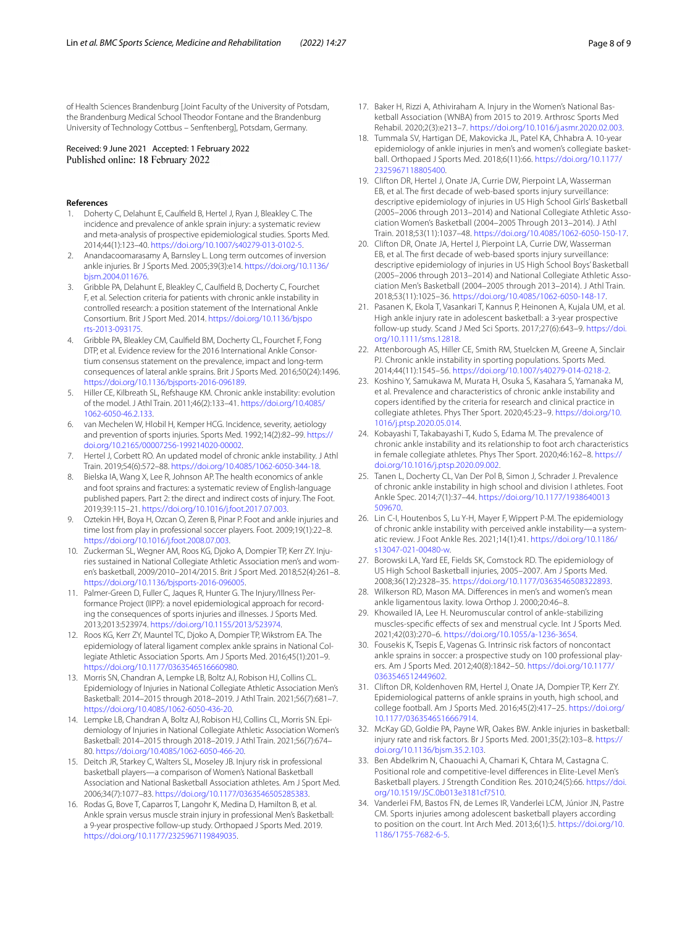of Health Sciences Brandenburg [Joint Faculty of the University of Potsdam, the Brandenburg Medical School Theodor Fontane and the Brandenburg University of Technology Cottbus – Senftenberg], Potsdam, Germany.

Received: 9 June 2021 Accepted: 1 February 2022 Published online: 18 February 2022

#### **References**

- <span id="page-7-0"></span>1. Doherty C, Delahunt E, Caulfeld B, Hertel J, Ryan J, Bleakley C. The incidence and prevalence of ankle sprain injury: a systematic review and meta-analysis of prospective epidemiological studies. Sports Med. 2014;44(1):123–40. [https://doi.org/10.1007/s40279-013-0102-5.](https://doi.org/10.1007/s40279-013-0102-5)
- <span id="page-7-1"></span>2. Anandacoomarasamy A, Barnsley L. Long term outcomes of inversion ankle injuries. Br J Sports Med. 2005;39(3):e14. [https://doi.org/10.1136/](https://doi.org/10.1136/bjsm.2004.011676) [bjsm.2004.011676.](https://doi.org/10.1136/bjsm.2004.011676)
- <span id="page-7-2"></span>3. Gribble PA, Delahunt E, Bleakley C, Caulfeld B, Docherty C, Fourchet F, et al. Selection criteria for patients with chronic ankle instability in controlled research: a position statement of the International Ankle Consortium. Brit J Sport Med. 2014. [https://doi.org/10.1136/bjspo](https://doi.org/10.1136/bjsports-2013-093175) [rts-2013-093175](https://doi.org/10.1136/bjsports-2013-093175).
- <span id="page-7-3"></span>4. Gribble PA, Bleakley CM, Caulfeld BM, Docherty CL, Fourchet F, Fong DTP, et al. Evidence review for the 2016 International Ankle Consortium consensus statement on the prevalence, impact and long-term consequences of lateral ankle sprains. Brit J Sports Med. 2016;50(24):1496. [https://doi.org/10.1136/bjsports-2016-096189.](https://doi.org/10.1136/bjsports-2016-096189)
- <span id="page-7-4"></span>5. Hiller CE, Kilbreath SL, Refshauge KM. Chronic ankle instability: evolution of the model. J Athl Train. 2011;46(2):133–41. [https://doi.org/10.4085/](https://doi.org/10.4085/1062-6050-46.2.133) [1062-6050-46.2.133](https://doi.org/10.4085/1062-6050-46.2.133).
- <span id="page-7-5"></span>6. van Mechelen W, Hlobil H, Kemper HCG. Incidence, severity, aetiology and prevention of sports injuries. Sports Med. 1992;14(2):82–99. [https://](https://doi.org/10.2165/00007256-199214020-00002) [doi.org/10.2165/00007256-199214020-00002](https://doi.org/10.2165/00007256-199214020-00002).
- <span id="page-7-6"></span>7. Hertel J, Corbett RO. An updated model of chronic ankle instability. J Athl Train. 2019;54(6):572–88.<https://doi.org/10.4085/1062-6050-344-18>.
- <span id="page-7-7"></span>8. Bielska IA, Wang X, Lee R, Johnson AP. The health economics of ankle and foot sprains and fractures: a systematic review of English-language published papers. Part 2: the direct and indirect costs of injury. The Foot. 2019;39:115–21. [https://doi.org/10.1016/j.foot.2017.07.003.](https://doi.org/10.1016/j.foot.2017.07.003)
- <span id="page-7-8"></span>Oztekin HH, Boya H, Ozcan O, Zeren B, Pinar P. Foot and ankle injuries and time lost from play in professional soccer players. Foot. 2009;19(1):22–8. <https://doi.org/10.1016/j.foot.2008.07.003>.
- <span id="page-7-9"></span>10. Zuckerman SL, Wegner AM, Roos KG, Djoko A, Dompier TP, Kerr ZY. Injuries sustained in National Collegiate Athletic Association men's and women's basketball, 2009/2010–2014/2015. Brit J Sport Med. 2018;52(4):261–8. [https://doi.org/10.1136/bjsports-2016-096005.](https://doi.org/10.1136/bjsports-2016-096005)
- <span id="page-7-10"></span>11. Palmer-Green D, Fuller C, Jaques R, Hunter G. The Injury/Illness Performance Project (IIPP): a novel epidemiological approach for recording the consequences of sports injuries and illnesses. J Sports Med. 2013;2013:523974. [https://doi.org/10.1155/2013/523974.](https://doi.org/10.1155/2013/523974)
- <span id="page-7-11"></span>12. Roos KG, Kerr ZY, Mauntel TC, Djoko A, Dompier TP, Wikstrom EA. The epidemiology of lateral ligament complex ankle sprains in National Collegiate Athletic Association Sports. Am J Sports Med. 2016;45(1):201–9. <https://doi.org/10.1177/0363546516660980>.
- <span id="page-7-17"></span>13. Morris SN, Chandran A, Lempke LB, Boltz AJ, Robison HJ, Collins CL. Epidemiology of Injuries in National Collegiate Athletic Association Men's Basketball: 2014–2015 through 2018–2019. J Athl Train. 2021;56(7):681–7. [https://doi.org/10.4085/1062-6050-436-20.](https://doi.org/10.4085/1062-6050-436-20)
- <span id="page-7-12"></span>14. Lempke LB, Chandran A, Boltz AJ, Robison HJ, Collins CL, Morris SN. Epidemiology of Injuries in National Collegiate Athletic Association Women's Basketball: 2014–2015 through 2018–2019. J Athl Train. 2021;56(7):674– 80. <https://doi.org/10.4085/1062-6050-466-20>.
- <span id="page-7-13"></span>15. Deitch JR, Starkey C, Walters SL, Moseley JB. Injury risk in professional basketball players—a comparison of Women's National Basketball Association and National Basketball Association athletes. Am J Sport Med. 2006;34(7):1077–83. [https://doi.org/10.1177/0363546505285383.](https://doi.org/10.1177/0363546505285383)
- 16. Rodas G, Bove T, Caparros T, Langohr K, Medina D, Hamilton B, et al. Ankle sprain versus muscle strain injury in professional Men's Basketball: a 9-year prospective follow-up study. Orthopaed J Sports Med. 2019. <https://doi.org/10.1177/2325967119849035>.
- <span id="page-7-14"></span>17. Baker H, Rizzi A, Athiviraham A. Injury in the Women's National Basketball Association (WNBA) from 2015 to 2019. Arthrosc Sports Med Rehabil. 2020;2(3):e213–7.<https://doi.org/10.1016/j.asmr.2020.02.003>.
- <span id="page-7-15"></span>18. Tummala SV, Hartigan DE, Makovicka JL, Patel KA, Chhabra A. 10-year epidemiology of ankle injuries in men's and women's collegiate basketball. Orthopaed J Sports Med. 2018;6(11):66. [https://doi.org/10.1177/](https://doi.org/10.1177/2325967118805400) [2325967118805400.](https://doi.org/10.1177/2325967118805400)
- <span id="page-7-24"></span>19. Clifton DR, Hertel J, Onate JA, Currie DW, Pierpoint LA, Wasserman EB, et al. The frst decade of web-based sports injury surveillance: descriptive epidemiology of injuries in US High School Girls' Basketball (2005–2006 through 2013–2014) and National Collegiate Athletic Association Women's Basketball (2004–2005 Through 2013–2014). J Athl Train. 2018;53(11):1037–48. [https://doi.org/10.4085/1062-6050-150-17.](https://doi.org/10.4085/1062-6050-150-17)
- <span id="page-7-16"></span>20. Clifton DR, Onate JA, Hertel J, Pierpoint LA, Currie DW, Wasserman EB, et al. The frst decade of web-based sports injury surveillance: descriptive epidemiology of injuries in US High School Boys' Basketball (2005–2006 through 2013–2014) and National Collegiate Athletic Association Men's Basketball (2004–2005 through 2013–2014). J Athl Train. 2018;53(11):1025–36. [https://doi.org/10.4085/1062-6050-148-17.](https://doi.org/10.4085/1062-6050-148-17)
- <span id="page-7-18"></span>21. Pasanen K, Ekola T, Vasankari T, Kannus P, Heinonen A, Kujala UM, et al. High ankle injury rate in adolescent basketball: a 3-year prospective follow-up study. Scand J Med Sci Sports. 2017;27(6):643–9. [https://doi.](https://doi.org/10.1111/sms.12818) [org/10.1111/sms.12818.](https://doi.org/10.1111/sms.12818)
- <span id="page-7-19"></span>22. Attenborough AS, Hiller CE, Smith RM, Stuelcken M, Greene A, Sinclair PJ. Chronic ankle instability in sporting populations. Sports Med. 2014;44(11):1545–56. [https://doi.org/10.1007/s40279-014-0218-2.](https://doi.org/10.1007/s40279-014-0218-2)
- <span id="page-7-20"></span>23. Koshino Y, Samukawa M, Murata H, Osuka S, Kasahara S, Yamanaka M, et al. Prevalence and characteristics of chronic ankle instability and copers identifed by the criteria for research and clinical practice in collegiate athletes. Phys Ther Sport. 2020;45:23–9. [https://doi.org/10.](https://doi.org/10.1016/j.ptsp.2020.05.014) [1016/j.ptsp.2020.05.014](https://doi.org/10.1016/j.ptsp.2020.05.014).
- <span id="page-7-32"></span>24. Kobayashi T, Takabayashi T, Kudo S, Edama M. The prevalence of chronic ankle instability and its relationship to foot arch characteristics in female collegiate athletes. Phys Ther Sport. 2020;46:162–8. [https://](https://doi.org/10.1016/j.ptsp.2020.09.002) [doi.org/10.1016/j.ptsp.2020.09.002.](https://doi.org/10.1016/j.ptsp.2020.09.002)
- <span id="page-7-21"></span>25. Tanen L, Docherty CL, Van Der Pol B, Simon J, Schrader J. Prevalence of chronic ankle instability in high school and division I athletes. Foot Ankle Spec. 2014;7(1):37–44. [https://doi.org/10.1177/1938640013](https://doi.org/10.1177/1938640013509670) [509670](https://doi.org/10.1177/1938640013509670).
- <span id="page-7-22"></span>26. Lin C-I, Houtenbos S, Lu Y-H, Mayer F, Wippert P-M. The epidemiology of chronic ankle instability with perceived ankle instability—a system‑ atic review. J Foot Ankle Res. 2021;14(1):41. [https://doi.org/10.1186/](https://doi.org/10.1186/s13047-021-00480-w) [s13047-021-00480-w.](https://doi.org/10.1186/s13047-021-00480-w)
- <span id="page-7-23"></span>27. Borowski LA, Yard EE, Fields SK, Comstock RD. The epidemiology of US High School Basketball injuries, 2005–2007. Am J Sports Med. 2008;36(12):2328–35.<https://doi.org/10.1177/0363546508322893>.
- <span id="page-7-25"></span>28. Wilkerson RD, Mason MA. Diferences in men's and women's mean ankle ligamentous laxity. Iowa Orthop J. 2000;20:46–8.
- <span id="page-7-26"></span>29. Khowailed IA, Lee H. Neuromuscular control of ankle-stabilizing muscles-specifc efects of sex and menstrual cycle. Int J Sports Med. 2021;42(03):270–6. [https://doi.org/10.1055/a-1236-3654.](https://doi.org/10.1055/a-1236-3654)
- <span id="page-7-27"></span>30. Fousekis K, Tsepis E, Vagenas G. Intrinsic risk factors of noncontact ankle sprains in soccer: a prospective study on 100 professional players. Am J Sports Med. 2012;40(8):1842–50. [https://doi.org/10.1177/](https://doi.org/10.1177/0363546512449602) [0363546512449602.](https://doi.org/10.1177/0363546512449602)
- <span id="page-7-28"></span>31. Clifton DR, Koldenhoven RM, Hertel J, Onate JA, Dompier TP, Kerr ZY. Epidemiological patterns of ankle sprains in youth, high school, and college football. Am J Sports Med. 2016;45(2):417–25. [https://doi.org/](https://doi.org/10.1177/0363546516667914) [10.1177/0363546516667914.](https://doi.org/10.1177/0363546516667914)
- <span id="page-7-29"></span>32. McKay GD, Goldie PA, Payne WR, Oakes BW. Ankle injuries in basketball: injury rate and risk factors. Br J Sports Med. 2001;35(2):103–8. [https://](https://doi.org/10.1136/bjsm.35.2.103) [doi.org/10.1136/bjsm.35.2.103](https://doi.org/10.1136/bjsm.35.2.103).
- <span id="page-7-30"></span>33. Ben Abdelkrim N, Chaouachi A, Chamari K, Chtara M, Castagna C. Positional role and competitive-level diferences in Elite-Level Men's Basketball players. J Strength Condition Res. 2010;24(5):66. [https://doi.](https://doi.org/10.1519/JSC.0b013e3181cf7510) [org/10.1519/JSC.0b013e3181cf7510](https://doi.org/10.1519/JSC.0b013e3181cf7510).
- <span id="page-7-31"></span>34. Vanderlei FM, Bastos FN, de Lemes IR, Vanderlei LCM, Júnior JN, Pastre CM. Sports injuries among adolescent basketball players according to position on the court. Int Arch Med. 2013;6(1):5. [https://doi.org/10.](https://doi.org/10.1186/1755-7682-6-5) [1186/1755-7682-6-5](https://doi.org/10.1186/1755-7682-6-5).